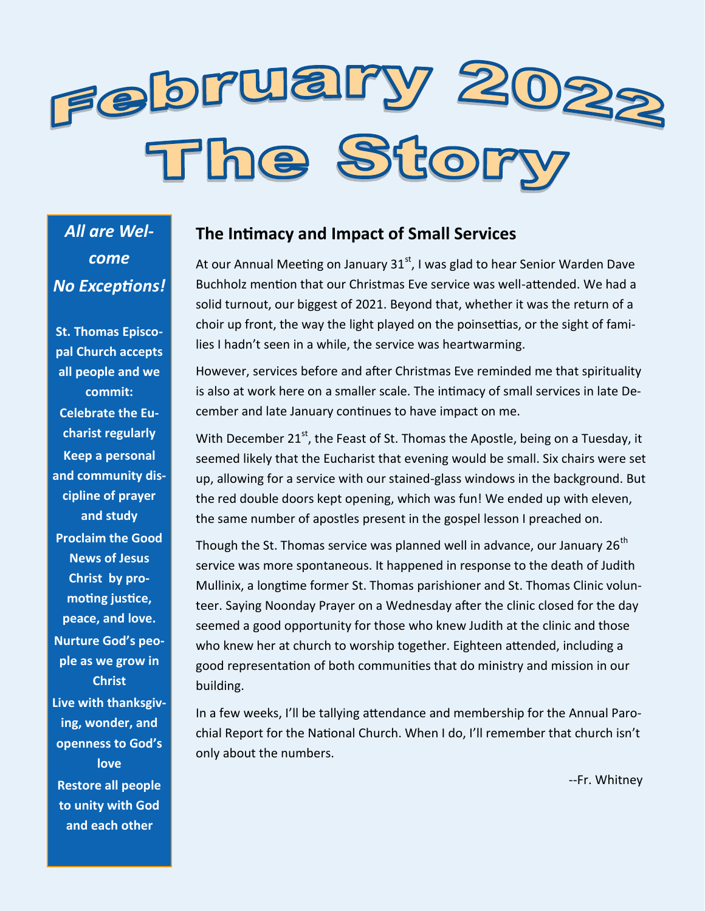

*All are Welcome No Exceptions!*

**St. Thomas Episcopal Church accepts all people and we commit: Celebrate the Eucharist regularly Keep a personal and community discipline of prayer and study Proclaim the Good News of Jesus Christ by promoting justice, peace, and love. Nurture God's people as we grow in Christ Live with thanksgiving, wonder, and openness to God's love Restore all people to unity with God** 

**and each other**

#### **The Intimacy and Impact of Small Services**

At our Annual Meeting on January  $31<sup>st</sup>$ , I was glad to hear Senior Warden Dave Buchholz mention that our Christmas Eve service was well-attended. We had a solid turnout, our biggest of 2021. Beyond that, whether it was the return of a choir up front, the way the light played on the poinsettias, or the sight of families I hadn't seen in a while, the service was heartwarming.

However, services before and after Christmas Eve reminded me that spirituality is also at work here on a smaller scale. The intimacy of small services in late December and late January continues to have impact on me.

With December  $21^{st}$ , the Feast of St. Thomas the Apostle, being on a Tuesday, it seemed likely that the Eucharist that evening would be small. Six chairs were set up, allowing for a service with our stained-glass windows in the background. But the red double doors kept opening, which was fun! We ended up with eleven, the same number of apostles present in the gospel lesson I preached on.

Though the St. Thomas service was planned well in advance, our January  $26<sup>th</sup>$ service was more spontaneous. It happened in response to the death of Judith Mullinix, a longtime former St. Thomas parishioner and St. Thomas Clinic volunteer. Saying Noonday Prayer on a Wednesday after the clinic closed for the day seemed a good opportunity for those who knew Judith at the clinic and those who knew her at church to worship together. Eighteen attended, including a good representation of both communities that do ministry and mission in our building.

In a few weeks, I'll be tallying attendance and membership for the Annual Parochial Report for the National Church. When I do, I'll remember that church isn't only about the numbers.

--Fr. Whitney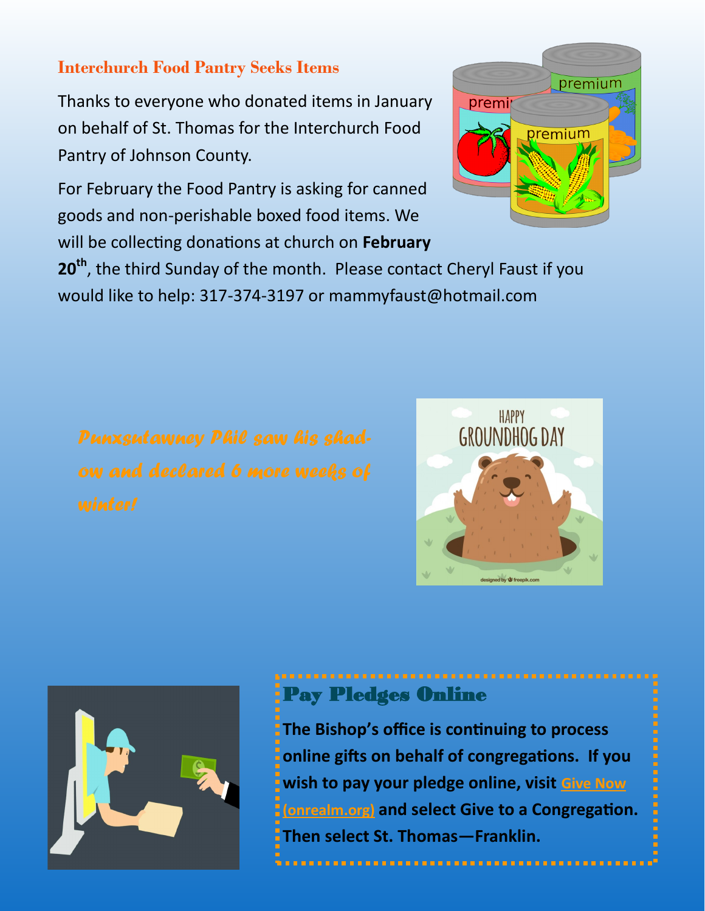### **Interchurch Food Pantry Seeks Items**

Thanks to everyone who donated items in January on behalf of St. Thomas for the Interchurch Food Pantry of Johnson County.

For February the Food Pantry is asking for canned goods and non-perishable boxed food items. We will be collecting donations at church on **February** 

premium premit premium

**20th**, the third Sunday of the month. Please contact Cheryl Faust if you would like to help: 317-374-3197 or mammyfaust@hotmail.com





# Pay Pledges Online

**The Bishop's office is continuing to process online gifts on behalf of congregations. If you wish to pay your pledge online, visit [Give Now](https://onrealm.org/indydio/-/give/covid19)  [\(onrealm.org\)](https://onrealm.org/indydio/-/give/covid19) and select Give to a Congregation. Then select St. Thomas—Franklin.**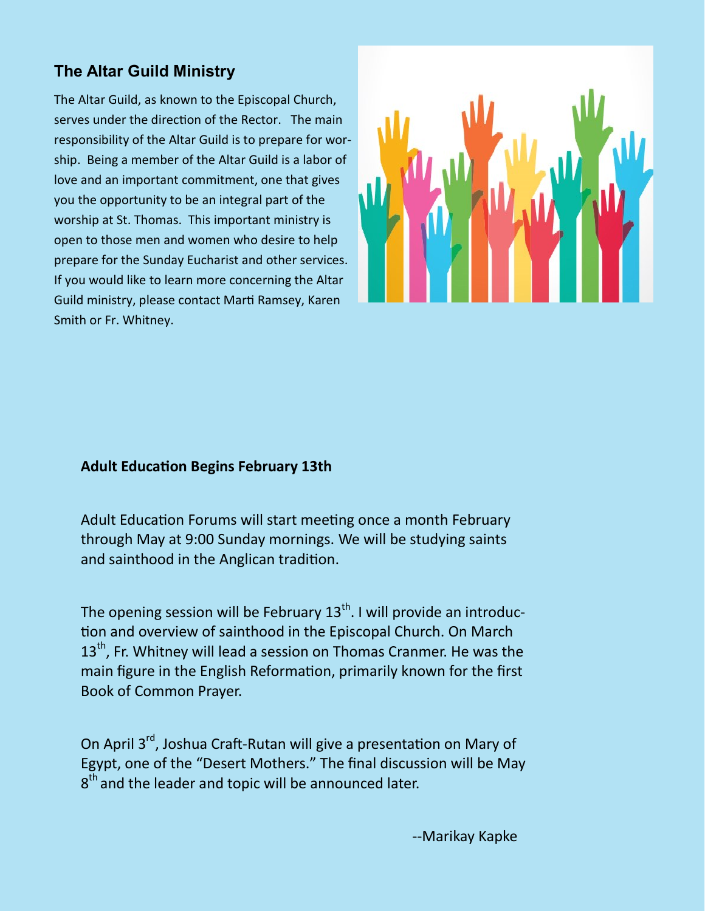## **The Altar Guild Ministry**

The Altar Guild, as known to the Episcopal Church, serves under the direction of the Rector. The main responsibility of the Altar Guild is to prepare for worship. Being a member of the Altar Guild is a labor of love and an important commitment, one that gives you the opportunity to be an integral part of the worship at St. Thomas. This important ministry is open to those men and women who desire to help prepare for the Sunday Eucharist and other services. If you would like to learn more concerning the Altar Guild ministry, please contact Marti Ramsey, Karen Smith or Fr. Whitney.



#### **Adult Education Begins February 13th**

Adult Education Forums will start meeting once a month February through May at 9:00 Sunday mornings. We will be studying saints and sainthood in the Anglican tradition.

The opening session will be February  $13<sup>th</sup>$ . I will provide an introduction and overview of sainthood in the Episcopal Church. On March 13<sup>th</sup>. Fr. Whitney will lead a session on Thomas Cranmer. He was the main figure in the English Reformation, primarily known for the first Book of Common Prayer.

On April 3<sup>rd</sup>, Joshua Craft-Rutan will give a presentation on Mary of Egypt, one of the "Desert Mothers." The final discussion will be May  $8<sup>th</sup>$  and the leader and topic will be announced later.

--Marikay Kapke